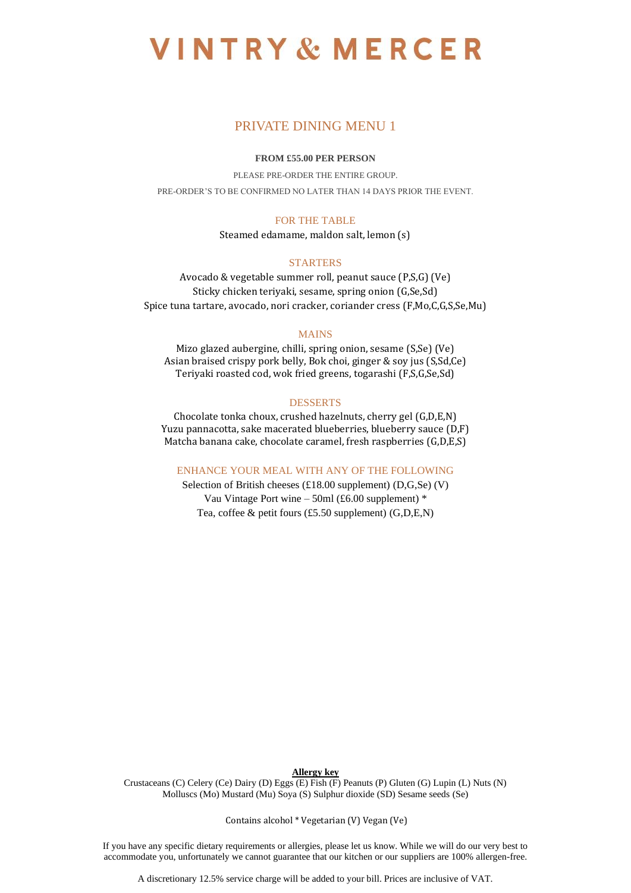# **VINTRY & MERCER**

# PRIVATE DINING MENU 1

# **FROM £55.00 PER PERSON**

PLEASE PRE-ORDER THE ENTIRE GROUP. PRE-ORDER'S TO BE CONFIRMED NO LATER THAN 14 DAYS PRIOR THE EVENT.

## FOR THE TABLE

Steamed edamame, maldon salt, lemon (s)

## **STARTERS**

Avocado & vegetable summer roll, peanut sauce (P,S,G) (Ve) Sticky chicken teriyaki, sesame, spring onion (G,Se,Sd) Spice tuna tartare, avocado, nori cracker, coriander cress (F,Mo,C,G,S,Se,Mu)

## MAINS

Mizo glazed aubergine, chilli, spring onion, sesame (S,Se) (Ve) Asian braised crispy pork belly, Bok choi, ginger & soy jus (S,Sd,Ce) Teriyaki roasted cod, wok fried greens, togarashi (F,S,G,Se,Sd)

## **DESSERTS**

Chocolate tonka choux, crushed hazelnuts, cherry gel (G,D,E,N) Yuzu pannacotta, sake macerated blueberries, blueberry sauce (D,F) Matcha banana cake, chocolate caramel, fresh raspberries (G,D,E,S)

ENHANCE YOUR MEAL WITH ANY OF THE FOLLOWING

Selection of British cheeses (£18.00 supplement) (D,G,Se) (V) Vau Vintage Port wine – 50ml (£6.00 supplement)  $*$ Tea, coffee & petit fours (£5.50 supplement) (G,D,E,N)

### **Allergy key**

Crustaceans (C) Celery (Ce) Dairy (D) Eggs (E) Fish (F) Peanuts (P) Gluten (G) Lupin (L) Nuts (N) Molluscs (Mo) Mustard (Mu) Soya (S) Sulphur dioxide (SD) Sesame seeds (Se)

Contains alcohol \* Vegetarian (V) Vegan (Ve)

If you have any specific dietary requirements or allergies, please let us know. While we will do our very best to accommodate you, unfortunately we cannot guarantee that our kitchen or our suppliers are 100% allergen-free.

A discretionary 12.5% service charge will be added to your bill. Prices are inclusive of VAT.